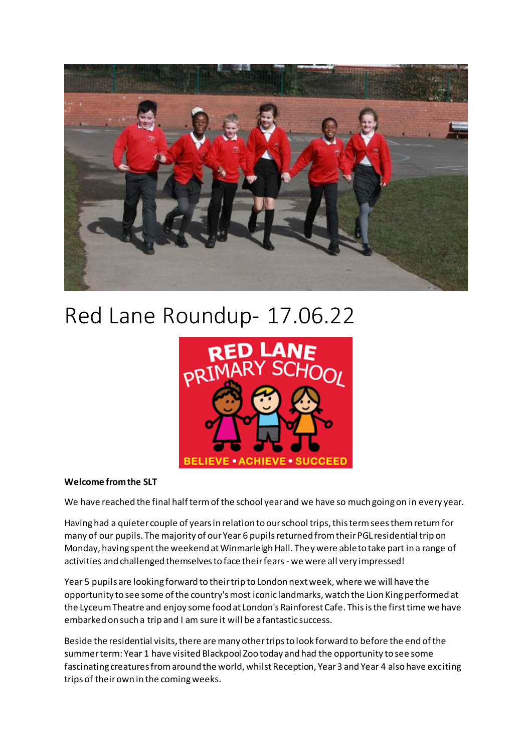

# Red Lane Roundup- 17.06.22



#### **Welcome from the SLT**

We have reached the final half term of the school year and we have so much going on in every year.

Having had a quieter couple of years in relation to our school trips, this term sees them return for many of our pupils. The majority of our Year 6 pupils returned from their PGL residential trip on Monday, having spent the weekend at Winmarleigh Hall. They were able to take part in a range of activities and challenged themselves to face their fears - we were all very impressed!

Year 5 pupils are looking forward to their trip to London next week, where we will have the opportunity to see some of the country's most iconic landmarks, watch the Lion King performed at the Lyceum Theatre and enjoy some food at London's Rainforest Cafe. This is the first time we have embarked on such a trip and I am sure it will be a fantastic success.

Beside the residential visits, there are many other trips to look forward to before the end of the summer term: Year 1 have visited Blackpool Zoo today and had the opportunity to see some fascinating creatures from around the world, whilst Reception, Year 3 and Year 4 also have exciting trips of their own in the coming weeks.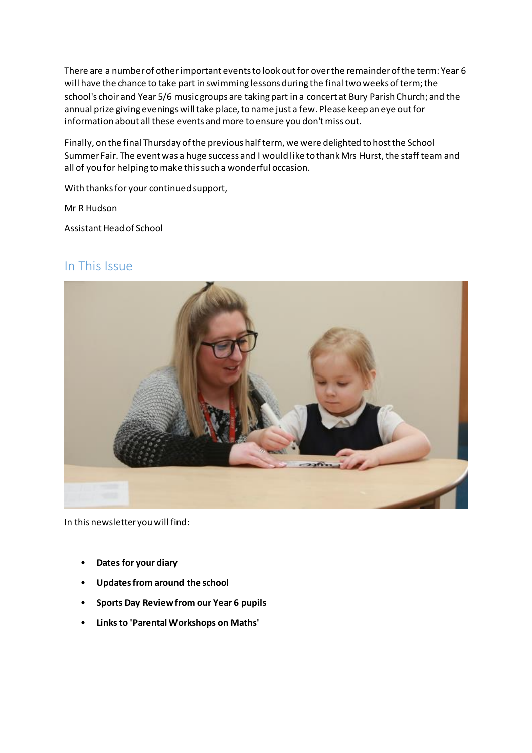There are a number of other important events to look out for over the remainder of the term: Year 6 will have the chance to take part in swimming lessons during the final two weeks of term; the school's choir and Year 5/6 music groups are taking part in a concert at Bury Parish Church; and the annual prize giving evenings will take place, to name just a few. Please keep an eye out for information about all these events and more to ensure you don't miss out.

Finally, on the final Thursday of the previous half term, we were delighted to host the School Summer Fair. The event was a huge success and I would like to thank Mrs Hurst, the staff team and all of you for helping to make this such a wonderful occasion.

With thanks for your continued support,

Mr R Hudson

Assistant Head of School

### In This Issue



In this newsletter you will find:

- **Dates for your diary**
- **Updates from around the school**
- **Sports Day Review from our Year 6 pupils**
- **Links to 'Parental Workshops on Maths'**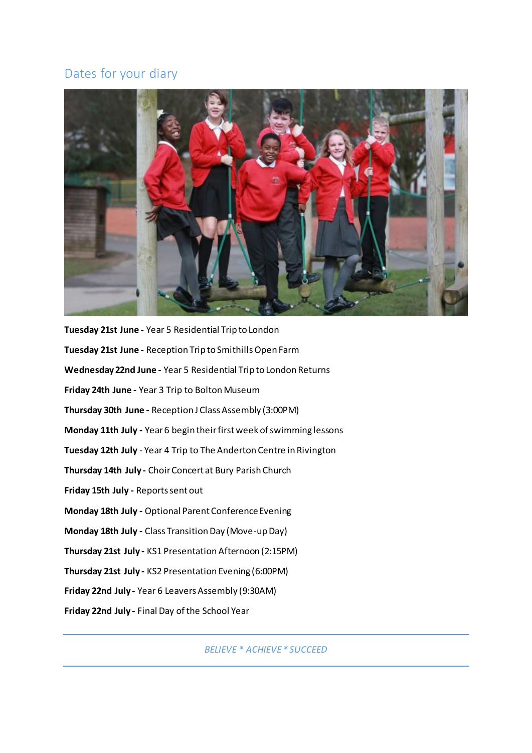## Dates for your diary



**Tuesday 21st June -** Year 5 Residential Trip to London **Tuesday 21st June -** Reception Trip to Smithills Open Farm **Wednesday 22nd June -** Year 5 Residential Trip to London Returns **Friday 24th June -** Year 3 Trip to Bolton Museum **Thursday 30th June -** Reception J Class Assembly (3:00PM) **Monday 11th July -** Year 6 begin their first week of swimming lessons **Tuesday 12th July** - Year 4 Trip to The Anderton Centre in Rivington **Thursday 14th July -** Choir Concert at Bury Parish Church **Friday 15th July -** Reports sent out **Monday 18th July -** Optional Parent Conference Evening **Monday 18th July -** Class Transition Day (Move-up Day) **Thursday 21st July -** KS1 Presentation Afternoon (2:15PM) **Thursday 21st July -** KS2 Presentation Evening (6:00PM) **Friday 22nd July -** Year 6 Leavers Assembly (9:30AM) **Friday 22nd July -** Final Day of the School Year

*BELIEVE \* ACHIEVE \* SUCCEED*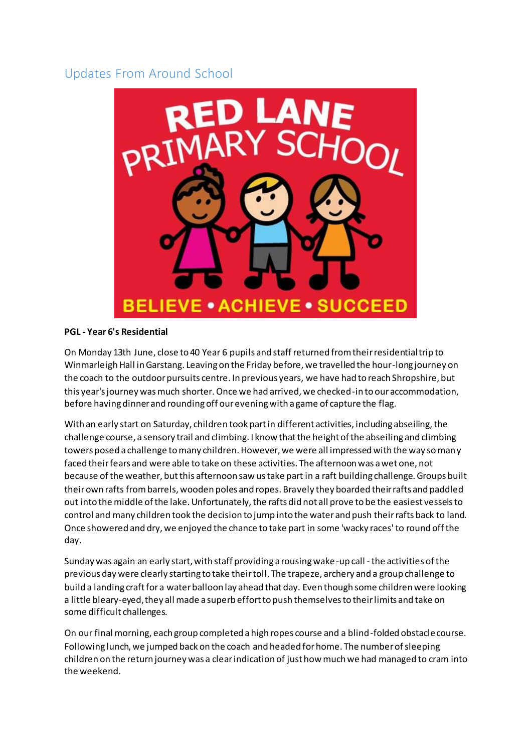## Updates From Around School



#### **PGL - Year 6's Residential**

On Monday 13th June, close to 40 Year 6 pupils and staff returned from their residential trip to Winmarleigh Hall in Garstang. Leaving on the Friday before, we travelled the hour-long journey on the coach to the outdoor pursuits centre. In previous years, we have had to reach Shropshire, but this year's journey was much shorter. Once we had arrived, we checked-in to our accommodation, before having dinner and rounding off our evening with a game of capture the flag.

With an early start on Saturday, children took part in different activities, including abseiling, the challenge course, a sensory trail and climbing. I know that the height of the abseiling and climbing towers posed a challenge to many children. However, we were all impressed with the way so many faced their fears and were able to take on these activities. The afternoon was a wet one, not because of the weather, but this afternoon saw us take part in a raft building challenge. Groups built their own rafts from barrels, wooden poles and ropes. Bravely they boarded their rafts and paddled out into the middle of the lake. Unfortunately, the rafts did not all prove to be the easiest vessels to control and many children took the decision to jump into the water and push their rafts back to land. Once showered and dry, we enjoyed the chance to take part in some 'wacky races' to round off the day.

Sunday was again an early start, with staff providing a rousing wake-up call - the activities of the previous day were clearly starting to take their toll. The trapeze, archery and a group challenge to build a landing craft for a water balloon lay ahead that day. Even though some children were looking a little bleary-eyed, they all made a superb effort to push themselves to their limits and take on some difficult challenges.

On our final morning, each group completed a high ropes course and a blind-folded obstacle course. Following lunch, we jumped back on the coach and headed for home. The number of sleeping children on the return journey was a clear indication of just how much we had managed to cram into the weekend.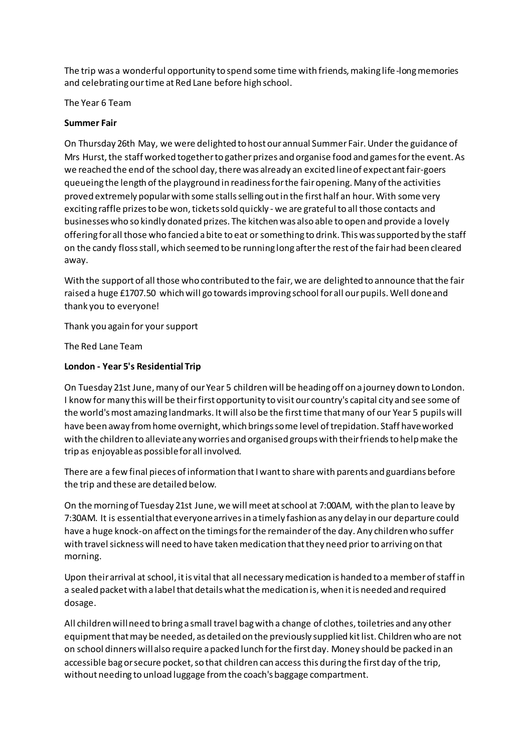The trip was a wonderful opportunity to spend some time with friends, making life -long memories and celebrating our time at Red Lane before high school.

The Year 6 Team

#### **Summer Fair**

On Thursday 26th May, we were delighted to host our annual Summer Fair. Under the guidance of Mrs Hurst, the staff worked together to gather prizes and organise food and games for the event. As we reached the end of the school day, there was already an excited line of expectant fair-goers queueing the length of the playground in readiness for the fair opening. Many of the activities proved extremely popular with some stalls selling out in the first half an hour. With some very exciting raffle prizes to be won, tickets sold quickly - we are grateful to all those contacts and businesses who so kindly donated prizes. The kitchen was also able to open and provide a lovely offering for all those who fancied a bite to eat or something to drink. This was supported by the staff on the candy floss stall, which seemed to be running long after the rest of the fair had been cleared away.

With the support of all those who contributed to the fair, we are delighted to announce that the fair raised a huge £1707.50 which will go towards improving school for all our pupils. Well done and thank you to everyone!

Thank you again for your support

The Red Lane Team

#### **London - Year 5's Residential Trip**

On Tuesday 21st June, many of our Year 5 children will be heading off on a journey down to London. I know for many this will be their first opportunity to visit our country's capital city and see some of the world's most amazing landmarks. It will also be the first time that many of our Year 5 pupils will have been away from home overnight, which brings some level of trepidation. Staff have worked with the children to alleviate any worries and organised groups with their friends to help make the trip as enjoyable as possible for all involved.

There are a few final pieces of information that I want to share with parents and guardians before the trip and these are detailed below.

On the morning of Tuesday 21st June, we will meet at school at 7:00AM, with the plan to leave by 7:30AM. It is essential that everyone arrives in a timely fashion as any delay in our departure could have a huge knock-on affect on the timings for the remainder of the day. Any children who suffer with travel sickness will need to have taken medication that they need prior to arriving on that morning.

Upon their arrival at school, it is vital that all necessary medication is handed to a member of staff in a sealed packet with a label that details what the medication is, when it is needed and required dosage.

All children will need to bring a small travel bag with a change of clothes, toiletries and any other equipment that may be needed, as detailed on the previously supplied kit list. Children who are not on school dinners will also require a packed lunch for the first day. Money should be packed in an accessible bag or secure pocket, so that children can access this during the first day of the trip, without needing to unload luggage from the coach's baggage compartment.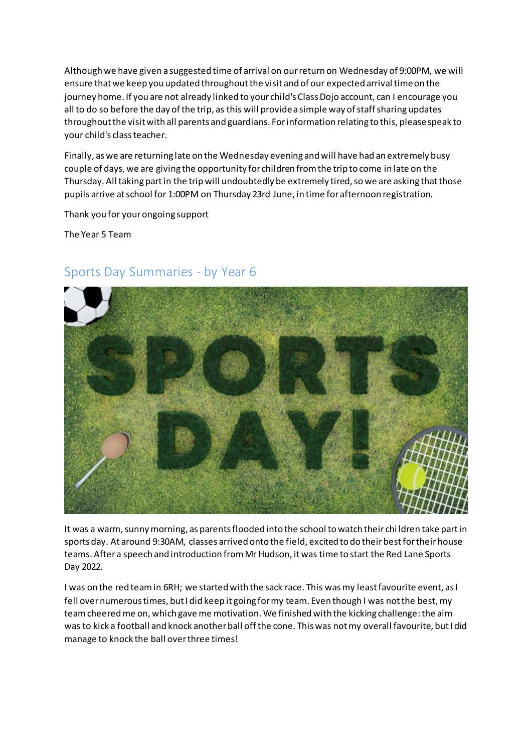Although we have given a suggested time of arrival on our return on Wednesday of 9:00PM, we will ensure that we keep you updated throughout the visit and of our expected arrival time on the journey home. If you are not already linked to your child's Class Dojo account, can I encourage you all to do so before the day of the trip, as this will provide a simple way of staff sharing updates throughout the visit with all parents and guardians. For information relating to this, please speak to your child's class teacher.

Finally, as we are returning late on the Wednesday evening and will have had an extremely busy couple of days, we are giving the opportunity for children from the trip to come in late on the Thursday. All taking part in the trip will undoubtedly be extremely tired, so we are asking that those pupils arrive at school for 1:00PM on Thursday 23rd June, in time for afternoon registration.

Thank you for your ongoing support

The Year 5 Team



## Sports Day Summaries - by Year 6

It was a warm, sunny morning, as parents flooded into the school to watch their chi ldren take part in sports day. At around 9:30AM, classes arrived onto the field, excited to do their best for their house teams. After a speech and introduction from Mr Hudson, it was time to start the Red Lane Sports Day 2022.

I was on the red team in 6RH; we started with the sack race. This was my least favourite event, as I fell over numerous times, but I did keep it going for my team. Even though I was not the best, my team cheered me on, which gave me motivation. We finished with the kicking challenge: the aim was to kick a football and knock another ball off the cone. This was not my overall favourite, but I did manage to knock the ball over three times!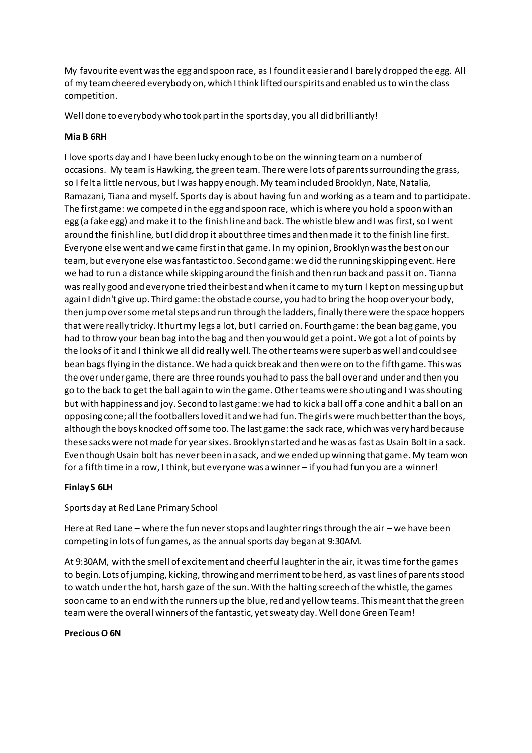My favourite event was the egg and spoon race, as I found it easier and I barely dropped the egg. All of my team cheered everybody on, which I think lifted our spirits and enabled us to win the class competition.

Well done to everybody who took part in the sports day, you all did brilliantly!

#### **Mia B 6RH**

I love sports day and I have been lucky enough to be on the winning team on a number of occasions. My team is Hawking, the green team. There were lots of parents surrounding the grass, so I felt a little nervous, but I was happy enough. My team included Brooklyn, Nate, Natalia, Ramazani, Tiana and myself. Sports day is about having fun and working as a team and to participate. The first game: we competed in the egg and spoon race, which is where you hold a spoon with an egg (a fake egg) and make it to the finish line and back. The whistle blew and I was first, so I went around the finish line, but I did drop it about three times and then made it to the finish line first. Everyone else went and we came first in that game. In my opinion, Brooklyn was the best on our team, but everyone else was fantastic too. Second game: we did the running skipping event. Here we had to run a distance while skipping around the finish and then run back and pass it on. Tianna was really good and everyone tried their best and when it came to my turn I kept on messing up but again I didn't give up. Third game: the obstacle course, you had to bring the hoop over your body, then jump over some metal steps and run through the ladders, finally there were the space hoppers that were really tricky. It hurt my legs a lot, but I carried on. Fourth game: the bean bag game, you had to throw your bean bag into the bag and then you would get a point. We got a lot of points by the looks of it and I think we all did really well. The other teams were superb as well and could see bean bags flying in the distance. We had a quick break and then were on to the fifth game. This was the over under game, there are three rounds you had to pass the ball over and under and then you go to the back to get the ball again to win the game. Other teams were shouting and I was shouting but with happiness and joy. Second to last game: we had to kick a ball off a cone and hit a ball on an opposing cone; all the footballers loved it and we had fun. The girls were much better than the boys, although the boys knocked off some too. The last game: the sack race, which was very hard because these sacks were not made for year sixes. Brooklyn started and he was as fast as Usain Bolt in a sack. Even though Usain bolt has never been in a sack, and we ended up winning that game. My team won for a fifth time in a row, I think, but everyone was a winner – if you had fun you are a winner!

#### **Finlay S 6LH**

Sports day at Red Lane Primary School

Here at Red Lane – where the fun never stops and laughter rings through the air – we have been competing in lots of fun games, as the annual sports day began at 9:30AM.

At 9:30AM, with the smell of excitement and cheerful laughter in the air, it was time for the games to begin. Lots of jumping, kicking, throwing and merriment to be herd, as vast lines of parents stood to watch under the hot, harsh gaze of the sun. With the halting screech of the whistle, the games soon came to an end with the runners up the blue, red and yellow teams. This meant that the green team were the overall winners of the fantastic, yet sweaty day. Well done Green Team!

#### **Precious O 6N**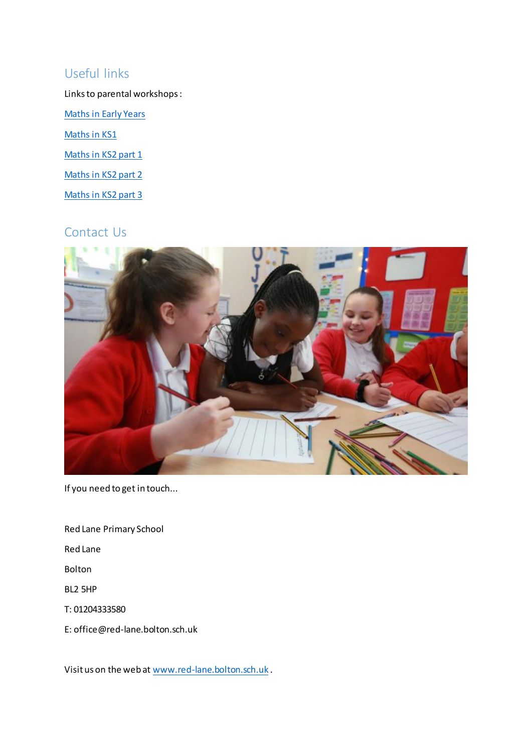## Useful links

Links to parental workshops :

[Maths in Early Years](https://www.youtube.com/watch?v=NYEgEJYZugo)

[Maths in KS1](https://www.youtube.com/watch?v=L4QSxR8Loxk)

[Maths in KS2 part 1](https://youtu.be/omqA4KsTs4I)

[Maths in KS2 part 2](https://youtu.be/gUx5DjSo0fc)

[Maths in KS2 part 3](https://youtu.be/pFDMiiDO8l4)

## Contact Us



If you need to get in touch...

Red Lane Primary School

Red Lane

Bolton

BL2 5HP

T: 01204333580

E: office@red-lane.bolton.sch.uk

Visit us on the web at [www.red-lane.bolton.sch.uk](https://www.red-lane.bolton.sch.uk/) .